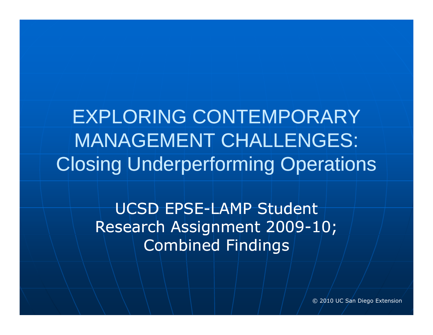EXPLORING CONTEMPORARY MANAGEMENT CHALLENGES: Closing Underperforming Operations

> UCSD EPSE-LAMP Student Research Assignment 2009 -10; Combined Findings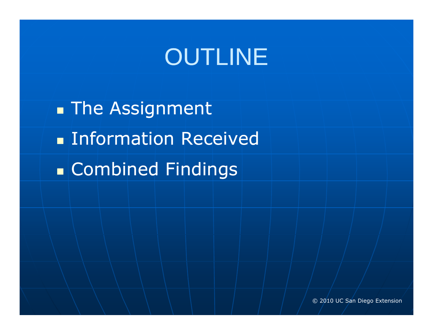# OUTLINE

 $\blacksquare$  The Assignment **Information Received** Combined Findings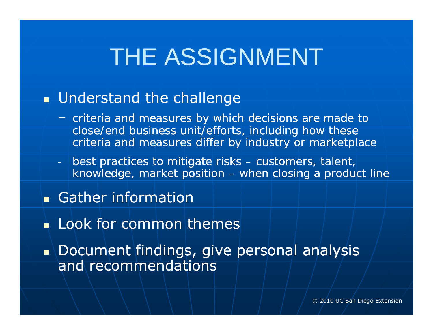## THE ASSIGNMENT

### **understand the challenge**

- *criteria and measures by which decisions are made to close/end business unit/efforts, including how these*  criteria and measures differ by industry or marketplace
- *best practices to mitigate risks mitigate – customers, talent, knowledge, market position – when closing a product line line*
- Gather information
- **Look for common themes**
- $\blacksquare$  Document findings, give personal analysis and recommendations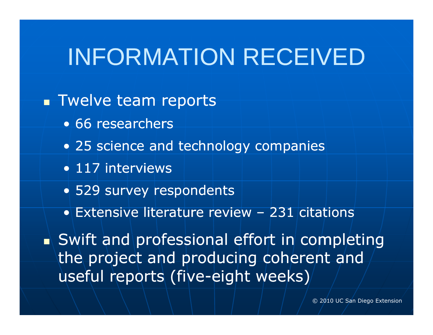## INFORMATION RECEIVED

### **Twelve team reports**

- 66 researchers
- 25 science and technology companies
- 117 interviews
- 529 survey respondents
- $\bullet$  Extensive literature review  $-$  231 citations

 $\blacksquare$  Swift and professional effort in completing the project and producing coherent and useful reports (five-eight weeks)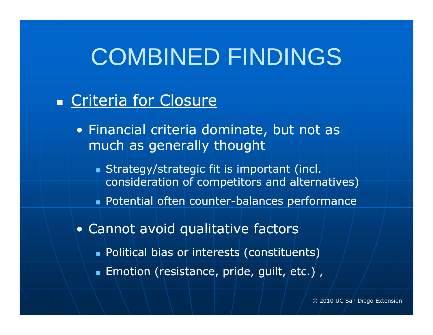### **Example 7 Criteria for Closure**

- Financial criteria dominate, but not as much as generally thought
	- Strategy/strategic fit is important (incl. consideration of competitors and alternatives)
	- $\blacksquare$  Potential often counter-balances performance
- Cannot avoid qualitative factors
	- Political bias or interests (constituents)
	- $\blacksquare$  Emotion (resistance, pride, guilt, etc.) ,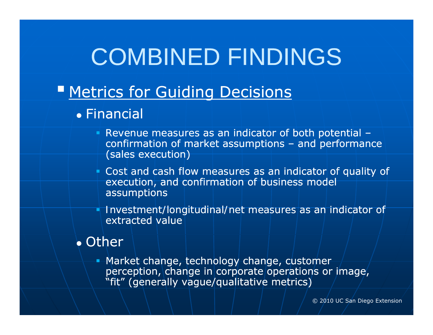- **Experience for Guiding Decisions** 
	- Financial
		- *Revenue measures* as an indicator of both potential confirmation of market assumptions – and performance (sales execution)
		- *Cost and cash flow measures* as an indicator of quality of execution, and confirmation of business model assumptions
		- *Investment/longitudinal/net measures* as an indicator of extracted value

#### • Other

**• Market change, technology change, customer** perception, change in corporate operations or image, "fit" (generally vague/qualitative metrics)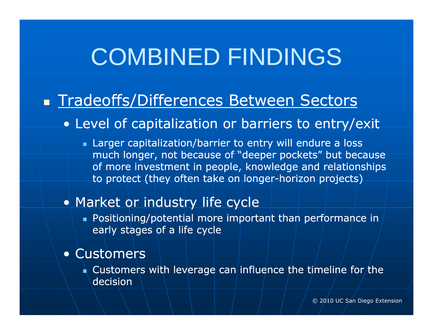### **Tradeoffs/Differences Between Sectors**

#### • Level of capitalization or barriers to entry/exit

 Larger capitalization/barrier to entry will endure a loss much longer, not because of "deeper pockets" but because of more investment in people, knowledge and relationships to protect (they often take on longer-horizon projects)

#### • Market or industry life cycle

**Dositioning/potential more important than performance in** early stages of a life cycle

#### • Customers

 $\blacksquare$  Customers with leverage can influence the timeline for the decision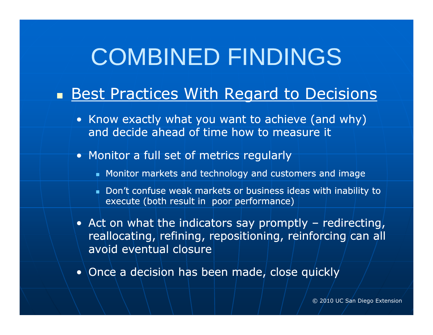### **Best Practices With Regard to Decisions**

- Know exactly what you want to achieve (and why) and decide ahead of time how to measure it
- Monitor a *full set* of metrics regularly
	- Monitor markets and technology and customers and image
	- . Don't confuse weak markets or business ideas with inability to execute (both result in poor performance)
- Act on what the indicators say promptly redirecting, reallocating, refining, repositioning, reinforcing can all avoid eventual closure
- $\bullet$  Once a decision has been made, close quickly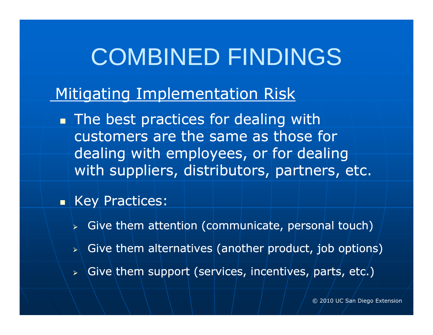### Mitigating Implementation Risk

**The best practices for dealing with** customers are the same as those for dealing with employees, or for dealing with suppliers, distributors, partners, etc.

#### **B** Key Practices:

- $\triangleright$  Give them attention (communicate, personal touch)
- $\triangleright\hspace{-.8mm}\mid$  Give them alternatives (another product, job options)
- > Give them support (services, incentives, parts, etc.)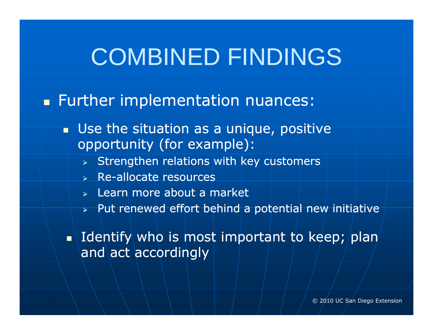### **Further implementation nuances:**

- **Use the situation as a unique, positive** opportunity (for example):
	- $\triangleright$  Strengthen relations with key customers
	- $\triangleright$  Re-allocate resources
	- $\triangleright$  Learn more about a market
	- $\triangleright$  Put renewed effort behind a potential new initiative

 $\blacksquare$  Identify who is most important to keep; plan and act accordingly